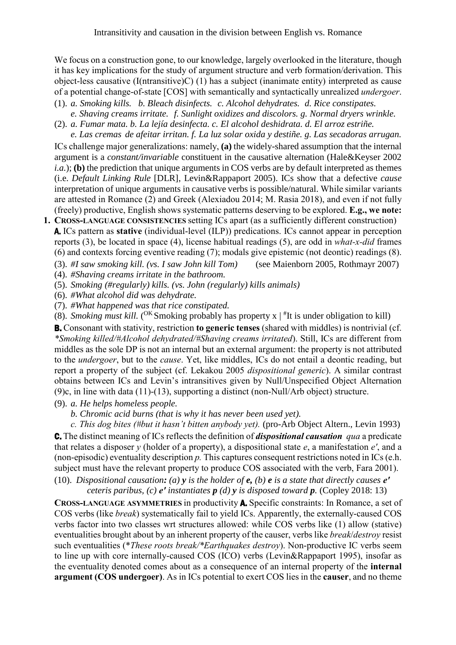We focus on a construction gone, to our knowledge, largely overlooked in the literature, though it has key implications for the study of argument structure and verb formation/derivation. This object-less causative (I(ntransitive)C) [\(1\)](#page-0-0) has a subject (inanimate entity) interpreted as cause of a potential change-of-state [COS] with semantically and syntactically unrealized *undergoer*.

- <span id="page-0-0"></span>(1). *a. Smoking kills. b. Bleach disinfects. c. Alcohol dehydrates. d. Rice constipates. e. Shaving creams irritate. f. Sunlight oxidizes and discolors. g. Normal dryers wrinkle.*
- (2). *a. Fumar mata. b. La lejía desinfecta. c. El alcohol deshidrata. d. El arroz estriñe.*

*e. Las cremas de afeitar irritan. f. La luz solar oxida y destiñe. g. Las secadoras arrugan.* ICs challenge major generalizations: namely, **(a)** the widely-shared assumption that the internal argument is a *constant/invariable* constituent in the causative alternation (Hale&Keyser 2002 *i.a.*); **(b)** the prediction that unique arguments in COS verbs are by default interpreted as themes (i.e. *Default Linking Rule* [DLR], Levin&Rappaport 2005). ICs show that a defective *cause*  interpretation of unique arguments in causative verbs is possible/natural. While similar variants are attested in Romance (2) and Greek (Alexiadou 2014; M. Rasia 2018), and even if not fully (freely) productive, English shows systematic patterns deserving to be explored. **E.g., we note:**

**1. CROSS-LANGUAGE CONSISTENCIES** setting ICs apart (as a sufficiently different construction) A. ICs pattern as **stative** (individual-level (ILP)) predications. ICs cannot appear in perception reports [\(3\),](#page-0-1) be located in space [\(4\),](#page-0-2) license habitual readings [\(5\),](#page-0-3) are odd in *what-x-did* frames [\(6\)](#page-0-4) and contexts forcing eventive reading [\(7\);](#page-0-5) modals give epistemic (not deontic) readings [\(8\).](#page-0-6)

<span id="page-0-1"></span>(3). *#I saw smoking kill. (vs. I saw John kill Tom)* (see Maienborn 2005, Rothmayr 2007)

<span id="page-0-2"></span>(4). *#Shaving creams irritate in the bathroom.* 

<span id="page-0-3"></span>(5). *Smoking (#regularly) kills. (vs. John (regularly) kills animals)*

<span id="page-0-4"></span>(6). *#What alcohol did was dehydrate.*

<span id="page-0-5"></span>(7). *#What happened was that rice constipated.* 

<span id="page-0-6"></span>(8). *Smoking must kill.* (<sup>OK</sup> Smoking probably has property  $x \mid$  <sup>#</sup>It is under obligation to kill)

B. Consonant with stativity, restriction **to generic tenses** (shared with middles) is nontrivial (cf. *\*Smoking killed/#Alcohol dehydrated/#Shaving creams irritated*). Still, ICs are different from middles as the sole DP is not an internal but an external argument: the property is not attributed to the *undergoer*, but to the *cause*. Yet, like middles, ICs do not entail a deontic reading, but report a property of the subject (cf. Lekakou 2005 *dispositional generic*). A similar contrast obtains between ICs and Levin's intransitives given by Null/Unspecified Object Alternation [\(9\)c](#page-0-7), in line with data (11)-(13), supporting a distinct (non-Null/Arb object) structure.

<span id="page-0-7"></span>(9). *a. He helps homeless people.*

*b. Chromic acid burns (that is why it has never been used yet).*

*c. This dog bites (#but it hasn't bitten anybody yet).* (pro-Arb Object Altern., Levin 1993) C. The distinct meaning of ICs reflects the definition of *dispositional causation qua* a predicate that relates a disposer *y* (holder of a property), a dispositional state *e*, a manifestation *e′*, and a (non-episodic) eventuality description *p.* This captures consequent restrictions noted in ICs (e.h. subject must have the relevant property to produce COS associated with the verb, Fara 2001).

<span id="page-0-8"></span>(10). *Dispositional causation: (a) y is the holder of e, (b) e is a state that directly causes e′ ceteris paribus, (c) e′ instantiates p (d) y is disposed toward p.* (Copley 2018: 13)

**CROSS-LANGUAGE ASYMMETRIES** in productivity A. Specific constraints: In Romance, a set of COS verbs (like *break*) systematically fail to yield ICs. Apparently, the externally-caused COS verbs factor into two classes wrt structures allowed: while COS verbs like [\(1\)](#page-0-0) allow (stative) eventualities brought about by an inherent property of the causer, verbs like *break*/*destroy* resist such eventualities (\**These roots break/\*Earthquakes destroy*). Non-productive IC verbs seem to line up with core internally-caused COS (ICO) verbs (Levin&Rappaport 1995), insofar as the eventuality denoted comes about as a consequence of an internal property of the **internal argument (COS undergoer)**. As in ICs potential to exert COS lies in the **causer**, and no theme